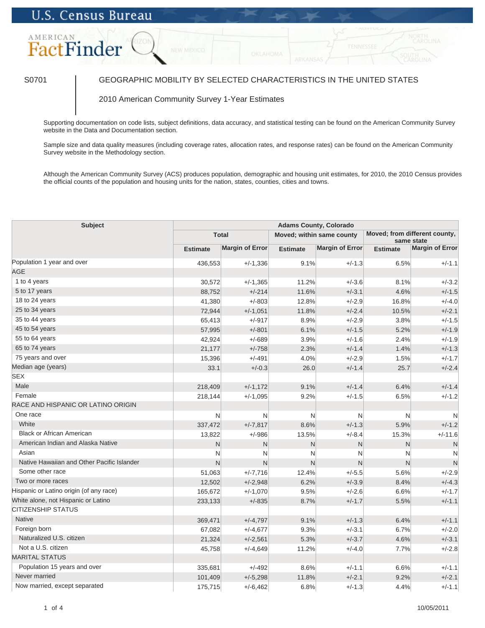## **U.S. Census Bureau**

# AMERICAN FactFinder

## S0701 GEOGRAPHIC MOBILITY BY SELECTED CHARACTERISTICS IN THE UNITED STATES

### 2010 American Community Survey 1-Year Estimates

Supporting documentation on code lists, subject definitions, data accuracy, and statistical testing can be found on the American Community Survey website in the Data and Documentation section.

Sample size and data quality measures (including coverage rates, allocation rates, and response rates) can be found on the American Community Survey website in the Methodology section.

Although the American Community Survey (ACS) produces population, demographic and housing unit estimates, for 2010, the 2010 Census provides the official counts of the population and housing units for the nation, states, counties, cities and towns.

| Subject                                    | <b>Adams County, Colorado</b> |                        |                 |                           |                 |                                             |  |
|--------------------------------------------|-------------------------------|------------------------|-----------------|---------------------------|-----------------|---------------------------------------------|--|
|                                            |                               | <b>Total</b>           |                 | Moved; within same county |                 | Moved; from different county,<br>same state |  |
|                                            | <b>Estimate</b>               | <b>Margin of Error</b> | <b>Estimate</b> | <b>Margin of Error</b>    | <b>Estimate</b> | <b>Margin of Error</b>                      |  |
| Population 1 year and over                 | 436,553                       | $+/-1,336$             | 9.1%            | $+/-1.3$                  | 6.5%            | $+/-1.1$                                    |  |
| <b>AGE</b>                                 |                               |                        |                 |                           |                 |                                             |  |
| 1 to 4 years                               | 30,572                        | $+/-1,365$             | 11.2%           | $+/-3.6$                  | 8.1%            | $+/-3.2$                                    |  |
| 5 to 17 years                              | 88,752                        | $+/-214$               | 11.6%           | $+/-3.1$                  | 4.6%            | $+/-1.5$                                    |  |
| 18 to 24 years                             | 41,380                        | $+/-803$               | 12.8%           | $+/-2.9$                  | 16.8%           | $+/-4.0$                                    |  |
| 25 to 34 years                             | 72,944                        | $+/-1,051$             | 11.8%           | $+/-2.4$                  | 10.5%           | $+/-2.1$                                    |  |
| 35 to 44 years                             | 65,413                        | $+/-917$               | 8.9%            | $+/-2.9$                  | 3.8%            | $+/-1.5$                                    |  |
| 45 to 54 years                             | 57,995                        | $+/-801$               | 6.1%            | $+/-1.5$                  | 5.2%            | $+/-1.9$                                    |  |
| 55 to 64 years                             | 42,924                        | $+/-689$               | 3.9%            | $+/-1.6$                  | 2.4%            | $+/-1.9$                                    |  |
| 65 to 74 years                             | 21,177                        | $+/-758$               | 2.3%            | $+/-1.4$                  | 1.4%            | $+/-1.3$                                    |  |
| 75 years and over                          | 15,396                        | $+/-491$               | 4.0%            | $+/-2.9$                  | 1.5%            | $+/-1.7$                                    |  |
| Median age (years)                         | 33.1                          | $+/-0.3$               | 26.0            | $+/-1.4$                  | 25.7            | $+/-2.4$                                    |  |
| <b>SEX</b>                                 |                               |                        |                 |                           |                 |                                             |  |
| Male                                       | 218,409                       | $+/-1,172$             | 9.1%            | $+/-1.4$                  | 6.4%            | $+/-1.4$                                    |  |
| Female                                     | 218,144                       | $+/-1,095$             | 9.2%            | $+/-1.5$                  | 6.5%            | $+/-1.2$                                    |  |
| RACE AND HISPANIC OR LATINO ORIGIN         |                               |                        |                 |                           |                 |                                             |  |
| One race                                   | N                             | N                      | N               | N                         | N               | N                                           |  |
| White                                      | 337,472                       | $+/-7,817$             | 8.6%            | $+/-1.3$                  | 5.9%            | $+/-1.2$                                    |  |
| <b>Black or African American</b>           | 13,822                        | $+/-986$               | 13.5%           | $+/-8.4$                  | 15.3%           | $+/-11.6$                                   |  |
| American Indian and Alaska Native          | $\mathsf{N}$                  | $\mathsf{N}$           | $\mathsf{N}$    | N                         | $\mathsf{N}$    | N                                           |  |
| Asian                                      | N                             | N                      | N               | N                         | N               | N                                           |  |
| Native Hawaiian and Other Pacific Islander | N                             | $\mathsf{N}$           | N               | N                         | N               | $\mathsf{N}$                                |  |
| Some other race                            | 51,063                        | $+/-7,716$             | 12.4%           | $+/-5.5$                  | 5.6%            | $+/-2.9$                                    |  |
| Two or more races                          | 12,502                        | $+/-2,948$             | 6.2%            | $+/-3.9$                  | 8.4%            | $+/-4.3$                                    |  |
| Hispanic or Latino origin (of any race)    | 165,672                       | $+/-1,070$             | 9.5%            | $+/-2.6$                  | 6.6%            | $+/-1.7$                                    |  |
| White alone, not Hispanic or Latino        | 233,133                       | $+/-835$               | 8.7%            | $+/-1.7$                  | 5.5%            | $+/-1.1$                                    |  |
| <b>CITIZENSHIP STATUS</b>                  |                               |                        |                 |                           |                 |                                             |  |
| <b>Native</b>                              | 369,471                       | $+/-4,797$             | 9.1%            | $+/-1.3$                  | 6.4%            | $+/-1.1$                                    |  |
| Foreign born                               | 67,082                        | $+/-4,677$             | 9.3%            | $+/-3.1$                  | 6.7%            | $+/-2.0$                                    |  |
| Naturalized U.S. citizen                   | 21,324                        | $+/-2,561$             | 5.3%            | $+/-3.7$                  | 4.6%            | $+/-3.1$                                    |  |
| Not a U.S. citizen                         | 45,758                        | $+/-4,649$             | 11.2%           | $+/-4.0$                  | 7.7%            | $+/-2.8$                                    |  |
| <b>MARITAL STATUS</b>                      |                               |                        |                 |                           |                 |                                             |  |
| Population 15 years and over               | 335,681                       | $+/-492$               | 8.6%            | $+/-1.1$                  | 6.6%            | $+/-1.1$                                    |  |
| Never married                              | 101,409                       | $+/-5,298$             | 11.8%           | $+/-2.1$                  | 9.2%            | $+/-2.1$                                    |  |
| Now married, except separated              | 175,715                       | $+/-6,462$             | 6.8%            | $+/-1.3$                  | 4.4%            | $+/-1.1$                                    |  |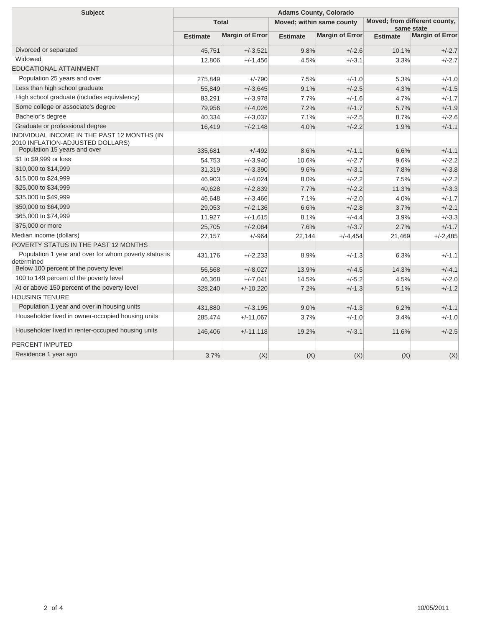| <b>Subject</b>                                                                  | <b>Adams County, Colorado</b> |                        |                           |                        |                                             |                        |  |
|---------------------------------------------------------------------------------|-------------------------------|------------------------|---------------------------|------------------------|---------------------------------------------|------------------------|--|
|                                                                                 | <b>Total</b>                  |                        | Moved; within same county |                        | Moved; from different county,<br>same state |                        |  |
|                                                                                 | <b>Estimate</b>               | <b>Margin of Error</b> | <b>Estimate</b>           | <b>Margin of Error</b> | <b>Estimate</b>                             | <b>Margin of Error</b> |  |
| Divorced or separated                                                           | 45.751                        | $+/-3.521$             | 9.8%                      | $+/-2.6$               | 10.1%                                       | $+/-2.7$               |  |
| Widowed                                                                         | 12,806                        | $+/-1.456$             | 4.5%                      | $+/-3.1$               | 3.3%                                        | $+/-2.7$               |  |
| <b>EDUCATIONAL ATTAINMENT</b>                                                   |                               |                        |                           |                        |                                             |                        |  |
| Population 25 years and over                                                    | 275,849                       | $+/-790$               | 7.5%                      | $+/-1.0$               | 5.3%                                        | $+/-1.0$               |  |
| Less than high school graduate                                                  | 55,849                        | $+/-3.645$             | 9.1%                      | $+/-2.5$               | 4.3%                                        | $+/-1.5$               |  |
| High school graduate (includes equivalency)                                     | 83,291                        | $+/-3.978$             | 7.7%                      | $+/-1.6$               | 4.7%                                        | $+/-1.7$               |  |
| Some college or associate's degree                                              | 79,956                        | $+/-4,026$             | 7.2%                      | $+/-1.7$               | 5.7%                                        | $+/-1.9$               |  |
| Bachelor's degree                                                               | 40,334                        | $+/-3,037$             | 7.1%                      | $+/-2.5$               | 8.7%                                        | $+/-2.6$               |  |
| Graduate or professional degree                                                 | 16,419                        | $+/-2,148$             | 4.0%                      | $+/-2.2$               | 1.9%                                        | $+/-1.1$               |  |
| INDIVIDUAL INCOME IN THE PAST 12 MONTHS (IN<br>2010 INFLATION-ADJUSTED DOLLARS) |                               |                        |                           |                        |                                             |                        |  |
| Population 15 years and over                                                    | 335,681                       | $+/-492$               | 8.6%                      | $+/-1.1$               | 6.6%                                        | $+/-1.1$               |  |
| \$1 to \$9,999 or loss                                                          | 54,753                        | $+/-3,940$             | 10.6%                     | $+/-2.7$               | 9.6%                                        | $+/-2.2$               |  |
| \$10,000 to \$14,999                                                            | 31,319                        | $+/-3,390$             | 9.6%                      | $+/-3.1$               | 7.8%                                        | $+/-3.8$               |  |
| \$15,000 to \$24,999                                                            | 46,903                        | $+/-4,024$             | 8.0%                      | $+/-2.2$               | 7.5%                                        | $+/-2.2$               |  |
| \$25,000 to \$34,999                                                            | 40,628                        | $+/-2,839$             | 7.7%                      | $+/-2.2$               | 11.3%                                       | $+/-3.3$               |  |
| \$35,000 to \$49,999                                                            | 46.648                        | $+/-3,466$             | 7.1%                      | $+/-2.0$               | 4.0%                                        | $+/-1.7$               |  |
| \$50,000 to \$64,999                                                            | 29,053                        | $+/-2,136$             | 6.6%                      | $+/-2.8$               | 3.7%                                        | $+/-2.1$               |  |
| \$65,000 to \$74,999                                                            | 11,927                        | $+/-1,615$             | 8.1%                      | $+/-4.4$               | 3.9%                                        | $+/-3.3$               |  |
| \$75,000 or more                                                                | 25,705                        | $+/-2,084$             | 7.6%                      | $+/-3.7$               | 2.7%                                        | $+/-1.7$               |  |
| Median income (dollars)                                                         | 27,157                        | $+/-964$               | 22,144                    | $+/-4,454$             | 21,469                                      | $+/-2,485$             |  |
| POVERTY STATUS IN THE PAST 12 MONTHS                                            |                               |                        |                           |                        |                                             |                        |  |
| Population 1 year and over for whom poverty status is<br>determined             | 431,176                       | $+/-2,233$             | 8.9%                      | $+/-1.3$               | 6.3%                                        | $+/-1.1$               |  |
| Below 100 percent of the poverty level                                          | 56,568                        | $+/-8,027$             | 13.9%                     | $+/-4.5$               | 14.3%                                       | $+/-4.1$               |  |
| 100 to 149 percent of the poverty level                                         | 46,368                        | $+/-7,041$             | 14.5%                     | $+/-5.2$               | 4.5%                                        | $+/-2.0$               |  |
| At or above 150 percent of the poverty level                                    | 328,240                       | $+/-10,220$            | 7.2%                      | $+/-1.3$               | 5.1%                                        | $+/-1.2$               |  |
| <b>HOUSING TENURE</b>                                                           |                               |                        |                           |                        |                                             |                        |  |
| Population 1 year and over in housing units                                     | 431,880                       | $+/-3,195$             | 9.0%                      | $+/-1.3$               | 6.2%                                        | $+/-1.1$               |  |
| Householder lived in owner-occupied housing units                               | 285,474                       | $+/-11,067$            | 3.7%                      | $+/-1.0$               | 3.4%                                        | $+/-1.0$               |  |
| Householder lived in renter-occupied housing units                              | 146,406                       | $+/-11,118$            | 19.2%                     | $+/-3.1$               | 11.6%                                       | $+/-2.5$               |  |
| PERCENT IMPUTED                                                                 |                               |                        |                           |                        |                                             |                        |  |
| Residence 1 year ago                                                            | 3.7%                          | (X)                    | (X)                       | (X)                    | (X)                                         | (X)                    |  |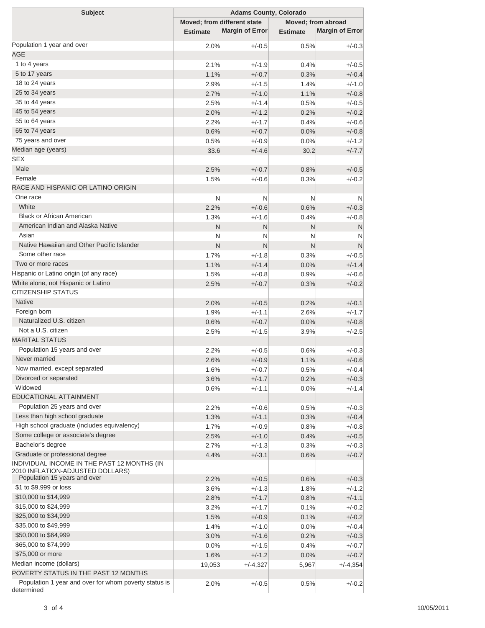| <b>Subject</b>                                                      | <b>Adams County, Colorado</b> |                        |                    |                        |  |  |
|---------------------------------------------------------------------|-------------------------------|------------------------|--------------------|------------------------|--|--|
|                                                                     | Moved; from different state   |                        | Moved; from abroad |                        |  |  |
|                                                                     | <b>Estimate</b>               | <b>Margin of Error</b> | <b>Estimate</b>    | <b>Margin of Error</b> |  |  |
| Population 1 year and over                                          | 2.0%                          | $+/-0.5$               | 0.5%               | $+/-0.3$               |  |  |
| <b>AGE</b>                                                          |                               |                        |                    |                        |  |  |
| 1 to 4 years                                                        | 2.1%                          | $+/-1.9$               | 0.4%               | $+/-0.5$               |  |  |
| 5 to 17 years                                                       | 1.1%                          | $+/-0.7$               | 0.3%               | $+/-0.4$               |  |  |
| 18 to 24 years                                                      | 2.9%                          | $+/-1.5$               | 1.4%               | $+/-1.0$               |  |  |
| 25 to 34 years                                                      | 2.7%                          | $+/-1.0$               | 1.1%               | $+/-0.8$               |  |  |
| 35 to 44 years                                                      | 2.5%                          | $+/-1.4$               | 0.5%               | $+/-0.5$               |  |  |
| 45 to 54 years                                                      | 2.0%                          | $+/-1.2$               | 0.2%               | $+/-0.2$               |  |  |
| 55 to 64 years                                                      | 2.2%                          | $+/-1.7$               | 0.4%               | $+/-0.6$               |  |  |
| 65 to 74 years                                                      | 0.6%                          | $+/-0.7$               | 0.0%               | $+/-0.8$               |  |  |
| 75 years and over                                                   | 0.5%                          | $+/-0.9$               | 0.0%               | $+/-1.2$               |  |  |
| Median age (years)                                                  | 33.6                          | $+/-4.6$               | 30.2               | $+/-7.7$               |  |  |
| <b>SEX</b>                                                          |                               |                        |                    |                        |  |  |
| Male                                                                | 2.5%                          | $+/-0.7$               | 0.8%               | $+/-0.5$               |  |  |
| Female                                                              | 1.5%                          | $+/-0.6$               | 0.3%               | $+/-0.2$               |  |  |
| RACE AND HISPANIC OR LATINO ORIGIN                                  |                               |                        |                    |                        |  |  |
| One race                                                            | N                             | N                      | N                  | N                      |  |  |
| White                                                               | 2.2%                          | $+/-0.6$               | 0.6%               | $+/-0.3$               |  |  |
| <b>Black or African American</b>                                    | 1.3%                          | $+/-1.6$               | 0.4%               | $+/-0.8$               |  |  |
| American Indian and Alaska Native                                   | $\mathsf{N}$                  | N                      | N                  | N                      |  |  |
| Asian                                                               | N                             | N                      | N                  | N                      |  |  |
| Native Hawaiian and Other Pacific Islander                          | N                             | N                      | N                  | N                      |  |  |
| Some other race                                                     | 1.7%                          | $+/-1.8$               | 0.3%               | $+/-0.5$               |  |  |
| Two or more races                                                   | 1.1%                          | $+/-1.4$               | 0.0%               | $+/-1.4$               |  |  |
| Hispanic or Latino origin (of any race)                             | 1.5%                          | $+/-0.8$               | 0.9%               | $+/-0.6$               |  |  |
| White alone, not Hispanic or Latino                                 | 2.5%                          | $+/-0.7$               | 0.3%               | $+/-0.2$               |  |  |
| <b>CITIZENSHIP STATUS</b>                                           |                               |                        |                    |                        |  |  |
| <b>Native</b>                                                       | 2.0%                          | $+/-0.5$               | 0.2%               | $+/-0.1$               |  |  |
| Foreign born                                                        | 1.9%                          | $+/-1.1$               | 2.6%               | $+/-1.7$               |  |  |
| Naturalized U.S. citizen                                            | 0.6%                          | $+/-0.7$               | 0.0%               | $+/-0.8$               |  |  |
| Not a U.S. citizen                                                  |                               |                        |                    |                        |  |  |
| <b>MARITAL STATUS</b>                                               | 2.5%                          | $+/-1.5$               | 3.9%               | $+/-2.5$               |  |  |
| Population 15 years and over                                        |                               |                        |                    |                        |  |  |
| Never married                                                       | 2.2%                          | $+/-0.5$               | 0.6%               | $+/-0.3$<br>$+/-0.6$   |  |  |
| Now married, except separated                                       | 2.6%                          | $+/-0.9$               | 1.1%               |                        |  |  |
| Divorced or separated                                               | 1.6%                          | $+/-0.7$               | 0.5%               | $+/-0.4$               |  |  |
| Widowed                                                             | 3.6%                          | $+/-1.7$               | 0.2%               | $+/-0.3$               |  |  |
| <b>EDUCATIONAL ATTAINMENT</b>                                       | 0.6%                          | $+/-1.1$               | 0.0%               | $+/-1.4$               |  |  |
| Population 25 years and over                                        |                               |                        |                    |                        |  |  |
| Less than high school graduate                                      | 2.2%                          | $+/-0.6$               | 0.5%               | $+/-0.3$               |  |  |
| High school graduate (includes equivalency)                         | 1.3%                          | $+/-1.1$               | 0.3%               | $+/-0.4$               |  |  |
| Some college or associate's degree                                  | 1.7%                          | $+/-0.9$               | 0.8%               | $+/-0.8$               |  |  |
| Bachelor's degree                                                   | 2.5%                          | $+/-1.0$               | 0.4%               | $+/-0.5$               |  |  |
| Graduate or professional degree                                     | 2.7%                          | $+/-1.3$               | 0.3%               | $+/-0.3$               |  |  |
| INDIVIDUAL INCOME IN THE PAST 12 MONTHS (IN                         | 4.4%                          | $+/-3.1$               | 0.6%               | $+/-0.7$               |  |  |
| 2010 INFLATION-ADJUSTED DOLLARS)                                    |                               |                        |                    |                        |  |  |
| Population 15 years and over                                        | 2.2%                          | $+/-0.5$               | 0.6%               | $+/-0.3$               |  |  |
| \$1 to \$9,999 or loss                                              | 3.6%                          | $+/-1.3$               | 1.8%               | $+/-1.2$               |  |  |
| \$10,000 to \$14,999                                                | 2.8%                          | $+/-1.7$               | 0.8%               | $+/-1.1$               |  |  |
| \$15,000 to \$24,999                                                | 3.2%                          | $+/-1.7$               | 0.1%               | $+/-0.2$               |  |  |
| \$25,000 to \$34,999                                                | 1.5%                          | $+/-0.9$               | 0.1%               | $+/-0.2$               |  |  |
| \$35,000 to \$49,999                                                | 1.4%                          | $+/-1.0$               | 0.0%               | $+/-0.4$               |  |  |
| \$50,000 to \$64,999                                                | 3.0%                          | $+/-1.6$               | 0.2%               | $+/-0.3$               |  |  |
| \$65,000 to \$74,999                                                | 0.0%                          | $+/-1.5$               | 0.4%               | $+/-0.7$               |  |  |
| \$75,000 or more                                                    | 1.6%                          | $+/-1.2$               | 0.0%               | $+/-0.7$               |  |  |
| Median income (dollars)                                             | 19,053                        | $+/-4,327$             | 5,967              | $+/-4,354$             |  |  |
| POVERTY STATUS IN THE PAST 12 MONTHS                                |                               |                        |                    |                        |  |  |
| Population 1 year and over for whom poverty status is<br>determined | 2.0%                          | $+/-0.5$               | 0.5%               | $+/-0.2$               |  |  |